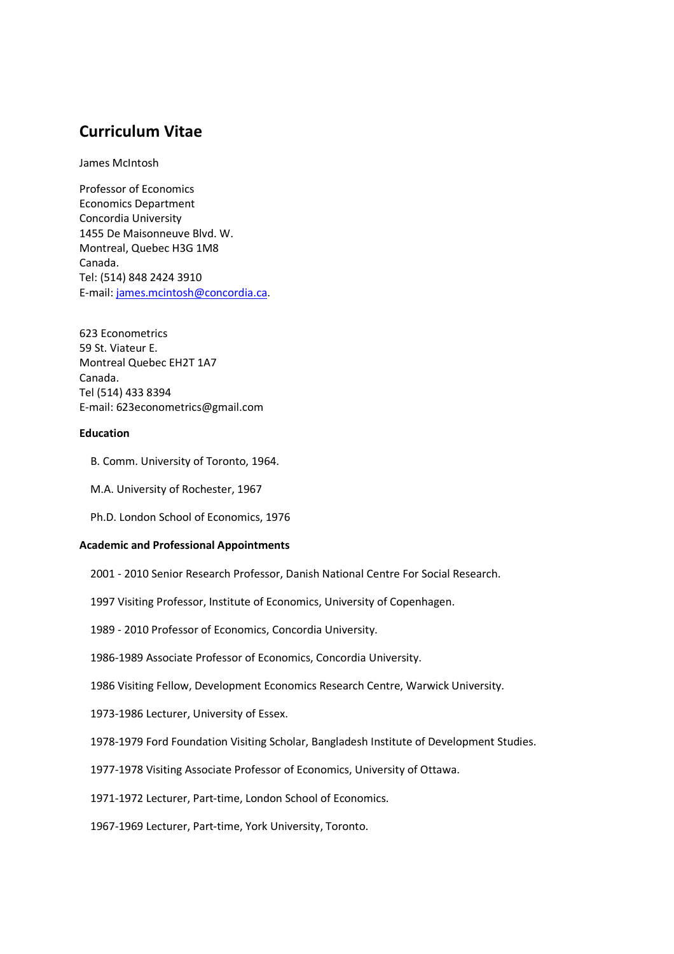# **Curriculum Vitae**

James McIntosh

Professor of Economics Economics Department Concordia University 1455 De Maisonneuve Blvd. W. Montreal, Quebec H3G 1M8 Canada. Tel: (514) 848 2424 3910 E-mail: james.mcintosh@concordia.ca.

623 Econometrics 59 St. Viateur E. Montreal Quebec EH2T 1A7 Canada. Tel (514) 433 8394 E-mail: 623econometrics@gmail.com

## **Education**

- B. Comm. University of Toronto, 1964.
- M.A. University of Rochester, 1967
- Ph.D. London School of Economics, 1976

## **Academic and Professional Appointments**

- 2001 2010 Senior Research Professor, Danish National Centre For Social Research.
- 1997 Visiting Professor, Institute of Economics, University of Copenhagen.
- 1989 2010 Professor of Economics, Concordia University.
- 1986-1989 Associate Professor of Economics, Concordia University.
- 1986 Visiting Fellow, Development Economics Research Centre, Warwick University.
- 1973-1986 Lecturer, University of Essex.
- 1978-1979 Ford Foundation Visiting Scholar, Bangladesh Institute of Development Studies.
- 1977-1978 Visiting Associate Professor of Economics, University of Ottawa.
- 1971-1972 Lecturer, Part-time, London School of Economics.
- 1967-1969 Lecturer, Part-time, York University, Toronto.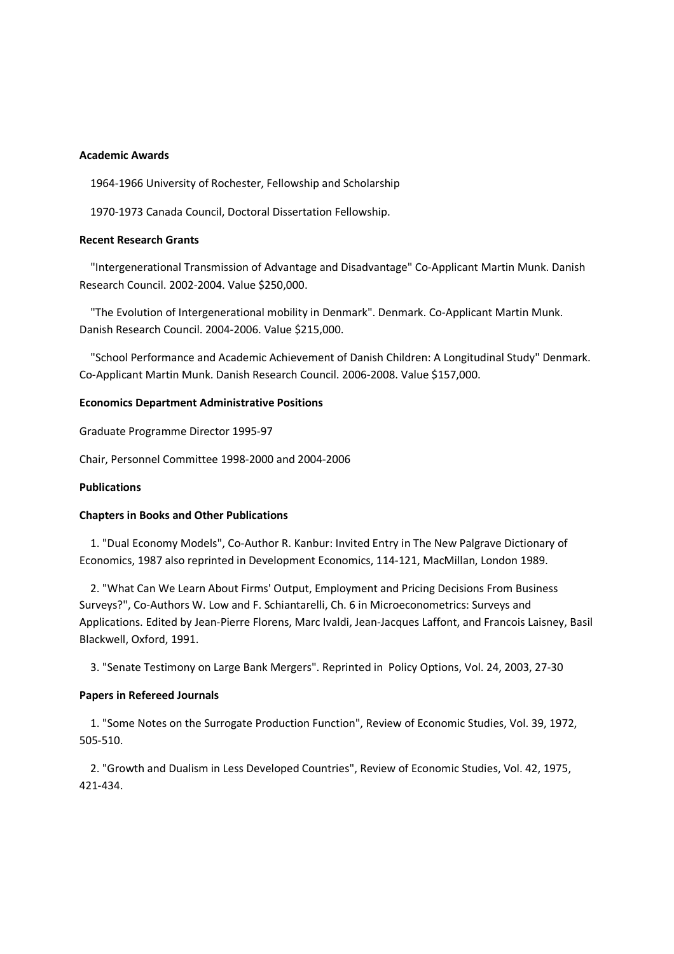## **Academic Awards**

1964-1966 University of Rochester, Fellowship and Scholarship

1970-1973 Canada Council, Doctoral Dissertation Fellowship.

## **Recent Research Grants**

 "Intergenerational Transmission of Advantage and Disadvantage" Co-Applicant Martin Munk. Danish Research Council. 2002-2004. Value \$250,000.

 "The Evolution of Intergenerational mobility in Denmark". Denmark. Co-Applicant Martin Munk. Danish Research Council. 2004-2006. Value \$215,000.

 "School Performance and Academic Achievement of Danish Children: A Longitudinal Study" Denmark. Co-Applicant Martin Munk. Danish Research Council. 2006-2008. Value \$157,000.

## **Economics Department Administrative Positions**

Graduate Programme Director 1995-97

Chair, Personnel Committee 1998-2000 and 2004-2006

## **Publications**

## **Chapters in Books and Other Publications**

 1. "Dual Economy Models", Co-Author R. Kanbur: Invited Entry in The New Palgrave Dictionary of Economics, 1987 also reprinted in Development Economics, 114-121, MacMillan, London 1989.

 2. "What Can We Learn About Firms' Output, Employment and Pricing Decisions From Business Surveys?", Co-Authors W. Low and F. Schiantarelli, Ch. 6 in Microeconometrics: Surveys and Applications. Edited by Jean-Pierre Florens, Marc Ivaldi, Jean-Jacques Laffont, and Francois Laisney, Basil Blackwell, Oxford, 1991.

3. "Senate Testimony on Large Bank Mergers". Reprinted in Policy Options, Vol. 24, 2003, 27-30

## **Papers in Refereed Journals**

 1. "Some Notes on the Surrogate Production Function", Review of Economic Studies, Vol. 39, 1972, 505-510.

 2. "Growth and Dualism in Less Developed Countries", Review of Economic Studies, Vol. 42, 1975, 421-434.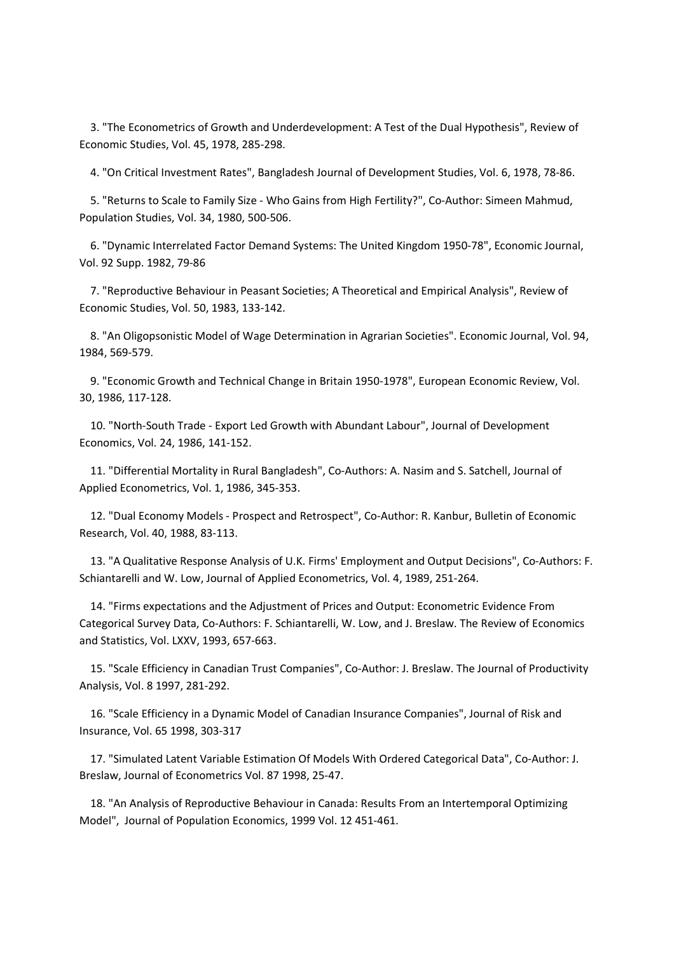3. "The Econometrics of Growth and Underdevelopment: A Test of the Dual Hypothesis", Review of Economic Studies, Vol. 45, 1978, 285-298.

4. "On Critical Investment Rates", Bangladesh Journal of Development Studies, Vol. 6, 1978, 78-86.

 5. "Returns to Scale to Family Size - Who Gains from High Fertility?", Co-Author: Simeen Mahmud, Population Studies, Vol. 34, 1980, 500-506.

 6. "Dynamic Interrelated Factor Demand Systems: The United Kingdom 1950-78", Economic Journal, Vol. 92 Supp. 1982, 79-86

 7. "Reproductive Behaviour in Peasant Societies; A Theoretical and Empirical Analysis", Review of Economic Studies, Vol. 50, 1983, 133-142.

 8. "An Oligopsonistic Model of Wage Determination in Agrarian Societies". Economic Journal, Vol. 94, 1984, 569-579.

 9. "Economic Growth and Technical Change in Britain 1950-1978", European Economic Review, Vol. 30, 1986, 117-128.

 10. "North-South Trade - Export Led Growth with Abundant Labour", Journal of Development Economics, Vol. 24, 1986, 141-152.

 11. "Differential Mortality in Rural Bangladesh", Co-Authors: A. Nasim and S. Satchell, Journal of Applied Econometrics, Vol. 1, 1986, 345-353.

 12. "Dual Economy Models - Prospect and Retrospect", Co-Author: R. Kanbur, Bulletin of Economic Research, Vol. 40, 1988, 83-113.

 13. "A Qualitative Response Analysis of U.K. Firms' Employment and Output Decisions", Co-Authors: F. Schiantarelli and W. Low, Journal of Applied Econometrics, Vol. 4, 1989, 251-264.

 14. "Firms expectations and the Adjustment of Prices and Output: Econometric Evidence From Categorical Survey Data, Co-Authors: F. Schiantarelli, W. Low, and J. Breslaw. The Review of Economics and Statistics, Vol. LXXV, 1993, 657-663.

 15. "Scale Efficiency in Canadian Trust Companies", Co-Author: J. Breslaw. The Journal of Productivity Analysis, Vol. 8 1997, 281-292.

 16. "Scale Efficiency in a Dynamic Model of Canadian Insurance Companies", Journal of Risk and Insurance, Vol. 65 1998, 303-317

 17. "Simulated Latent Variable Estimation Of Models With Ordered Categorical Data", Co-Author: J. Breslaw, Journal of Econometrics Vol. 87 1998, 25-47.

 18. "An Analysis of Reproductive Behaviour in Canada: Results From an Intertemporal Optimizing Model", Journal of Population Economics, 1999 Vol. 12 451-461.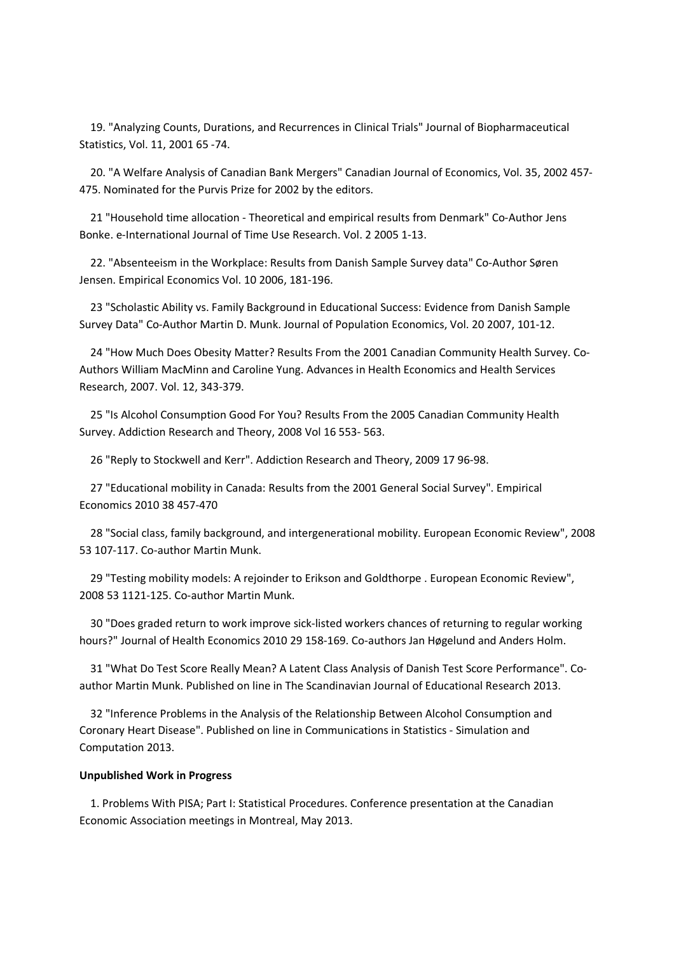19. "Analyzing Counts, Durations, and Recurrences in Clinical Trials" Journal of Biopharmaceutical Statistics, Vol. 11, 2001 65 -74.

 20. "A Welfare Analysis of Canadian Bank Mergers" Canadian Journal of Economics, Vol. 35, 2002 457- 475. Nominated for the Purvis Prize for 2002 by the editors.

 21 "Household time allocation - Theoretical and empirical results from Denmark" Co-Author Jens Bonke. e-International Journal of Time Use Research. Vol. 2 2005 1-13.

 22. "Absenteeism in the Workplace: Results from Danish Sample Survey data" Co-Author Søren Jensen. Empirical Economics Vol. 10 2006, 181-196.

 23 "Scholastic Ability vs. Family Background in Educational Success: Evidence from Danish Sample Survey Data" Co-Author Martin D. Munk. Journal of Population Economics, Vol. 20 2007, 101-12.

 24 "How Much Does Obesity Matter? Results From the 2001 Canadian Community Health Survey. Co-Authors William MacMinn and Caroline Yung. Advances in Health Economics and Health Services Research, 2007. Vol. 12, 343-379.

 25 "Is Alcohol Consumption Good For You? Results From the 2005 Canadian Community Health Survey. Addiction Research and Theory, 2008 Vol 16 553- 563.

26 "Reply to Stockwell and Kerr". Addiction Research and Theory, 2009 17 96-98.

 27 "Educational mobility in Canada: Results from the 2001 General Social Survey". Empirical Economics 2010 38 457-470

 28 "Social class, family background, and intergenerational mobility. European Economic Review", 2008 53 107-117. Co-author Martin Munk.

 29 "Testing mobility models: A rejoinder to Erikson and Goldthorpe . European Economic Review", 2008 53 1121-125. Co-author Martin Munk.

 30 "Does graded return to work improve sick-listed workers chances of returning to regular working hours?" Journal of Health Economics 2010 29 158-169. Co-authors Jan Høgelund and Anders Holm.

 31 "What Do Test Score Really Mean? A Latent Class Analysis of Danish Test Score Performance". Coauthor Martin Munk. Published on line in The Scandinavian Journal of Educational Research 2013.

 32 "Inference Problems in the Analysis of the Relationship Between Alcohol Consumption and Coronary Heart Disease". Published on line in Communications in Statistics - Simulation and Computation 2013.

## **Unpublished Work in Progress**

 1. Problems With PISA; Part I: Statistical Procedures. Conference presentation at the Canadian Economic Association meetings in Montreal, May 2013.